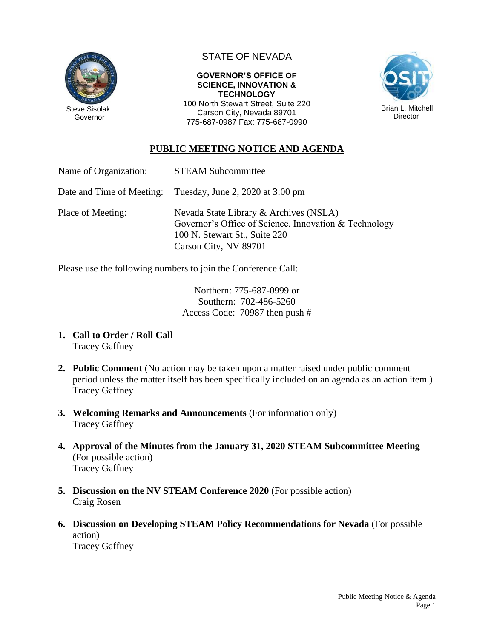

# STATE OF NEVADA

#### **GOVERNOR'S OFFICE OF SCIENCE, INNOVATION & TECHNOLOGY**

100 North Stewart Street, Suite 220 Carson City, Nevada 89701 775-687-0987 Fax: 775-687-0990



## **PUBLIC MEETING NOTICE AND AGENDA**

| Name of Organization:     | <b>STEAM Subcommittee</b>        |
|---------------------------|----------------------------------|
| Date and Time of Meeting: | Tuesday, June 2, 2020 at 3:00 pm |

Place of Meeting: Nevada State Library & Archives (NSLA) Governor's Office of Science, Innovation & Technology 100 N. Stewart St., Suite 220 Carson City, NV 89701

Please use the following numbers to join the Conference Call:

Northern: 775-687-0999 or Southern: 702-486-5260 Access Code: 70987 then push #

- **1. Call to Order / Roll Call** Tracey Gaffney
- **2. Public Comment** (No action may be taken upon a matter raised under public comment period unless the matter itself has been specifically included on an agenda as an action item.) Tracey Gaffney
- **3. Welcoming Remarks and Announcements** (For information only) Tracey Gaffney
- **4. Approval of the Minutes from the January 31, 2020 STEAM Subcommittee Meeting** (For possible action) Tracey Gaffney
- **5. Discussion on the NV STEAM Conference 2020** (For possible action) Craig Rosen
- **6. Discussion on Developing STEAM Policy Recommendations for Nevada** (For possible action) Tracey Gaffney

Public Meeting Notice & Agenda Page 1